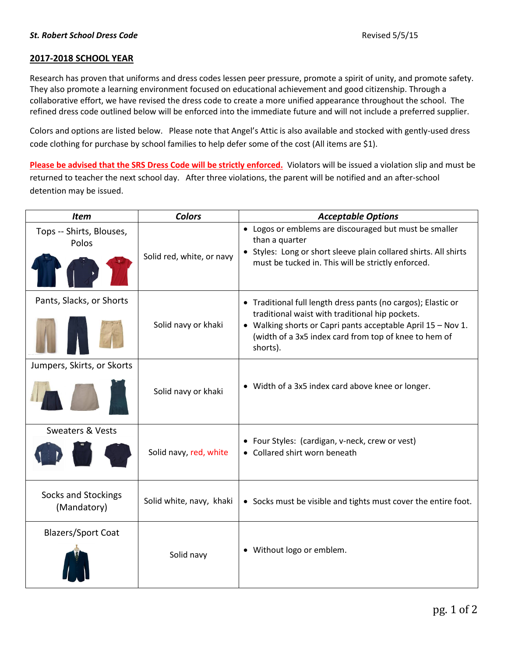## **2017-2018 SCHOOL YEAR**

Research has proven that uniforms and dress codes lessen peer pressure, promote a spirit of unity, and promote safety. They also promote a learning environment focused on educational achievement and good citizenship. Through a collaborative effort, we have revised the dress code to create a more unified appearance throughout the school. The refined dress code outlined below will be enforced into the immediate future and will not include a preferred supplier.

Colors and options are listed below. Please note that Angel's Attic is also available and stocked with gently-used dress code clothing for purchase by school families to help defer some of the cost (All items are \$1).

**Please be advised that the SRS Dress Code will be strictly enforced.** Violators will be issued a violation slip and must be returned to teacher the next school day. After three violations, the parent will be notified and an after-school detention may be issued.

| <b>Item</b>                        | <b>Colors</b>             | <b>Acceptable Options</b>                                                                                                                                                                                                                             |
|------------------------------------|---------------------------|-------------------------------------------------------------------------------------------------------------------------------------------------------------------------------------------------------------------------------------------------------|
| Tops -- Shirts, Blouses,<br>Polos  | Solid red, white, or navy | • Logos or emblems are discouraged but must be smaller<br>than a quarter<br>• Styles: Long or short sleeve plain collared shirts. All shirts<br>must be tucked in. This will be strictly enforced.                                                    |
| Pants, Slacks, or Shorts           | Solid navy or khaki       | • Traditional full length dress pants (no cargos); Elastic or<br>traditional waist with traditional hip pockets.<br>• Walking shorts or Capri pants acceptable April 15 - Nov 1.<br>(width of a 3x5 index card from top of knee to hem of<br>shorts). |
| Jumpers, Skirts, or Skorts         |                           |                                                                                                                                                                                                                                                       |
|                                    | Solid navy or khaki       | • Width of a 3x5 index card above knee or longer.                                                                                                                                                                                                     |
| <b>Sweaters &amp; Vests</b>        | Solid navy, red, white    | • Four Styles: (cardigan, v-neck, crew or vest)<br>• Collared shirt worn beneath                                                                                                                                                                      |
| Socks and Stockings<br>(Mandatory) | Solid white, navy, khaki  | • Socks must be visible and tights must cover the entire foot.                                                                                                                                                                                        |
| <b>Blazers/Sport Coat</b>          | Solid navy                | • Without logo or emblem.                                                                                                                                                                                                                             |